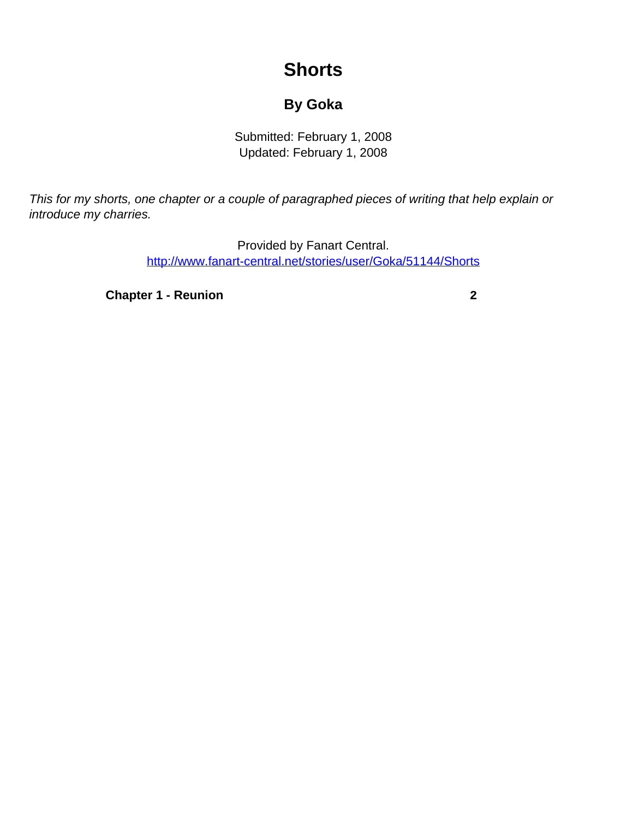## **Shorts**

## **By Goka**

Submitted: February 1, 2008 Updated: February 1, 2008

<span id="page-0-0"></span>This for my shorts, one chapter or a couple of paragraphed pieces of writing that help explain or introduce my charries.

> Provided by Fanart Central. [http://www.fanart-central.net/stories/user/Goka/51144/Shorts](#page-0-0)

**[Chapter 1 - Reunion](#page-1-0)** [2](#page-1-0)